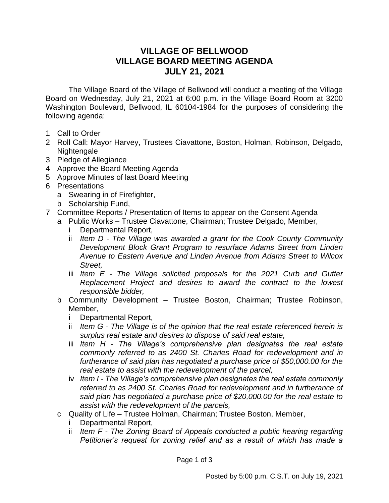## **VILLAGE OF BELLWOOD VILLAGE BOARD MEETING AGENDA JULY 21, 2021**

The Village Board of the Village of Bellwood will conduct a meeting of the Village Board on Wednesday, July 21, 2021 at 6:00 p.m. in the Village Board Room at 3200 Washington Boulevard, Bellwood, IL 60104-1984 for the purposes of considering the following agenda:

- 1 Call to Order
- 2 Roll Call: Mayor Harvey, Trustees Ciavattone, Boston, Holman, Robinson, Delgado, Nightengale
- 3 Pledge of Allegiance
- 4 Approve the Board Meeting Agenda
- 5 Approve Minutes of last Board Meeting
- 6 Presentations
	- a Swearing in of Firefighter,
	- b Scholarship Fund,
- 7 Committee Reports / Presentation of Items to appear on the Consent Agenda
- a Public Works Trustee Ciavattone, Chairman; Trustee Delgado, Member,
	- i Departmental Report,
	- ii *Item D - The Village was awarded a grant for the Cook County Community Development Block Grant Program to resurface Adams Street from Linden Avenue to Eastern Avenue and Linden Avenue from Adams Street to Wilcox Street,*
	- iii *Item E - The Village solicited proposals for the 2021 Curb and Gutter Replacement Project and desires to award the contract to the lowest responsible bidder,*
	- b Community Development Trustee Boston, Chairman; Trustee Robinson, Member,
		- i Departmental Report,
		- ii *Item G - The Village is of the opinion that the real estate referenced herein is surplus real estate and desires to dispose of said real estate,*
		- iii *Item H - The Village's comprehensive plan designates the real estate commonly referred to as 2400 St. Charles Road for redevelopment and in furtherance of said plan has negotiated a purchase price of \$50,000.00 for the real estate to assist with the redevelopment of the parcel,*
		- iv *Item I - The Village's comprehensive plan designates the real estate commonly referred to as 2400 St. Charles Road for redevelopment and in furtherance of said plan has negotiated a purchase price of \$20,000.00 for the real estate to assist with the redevelopment of the parcels,*
	- c Quality of Life Trustee Holman, Chairman; Trustee Boston, Member,
		- i Departmental Report,
		- ii *Item F - The Zoning Board of Appeals conducted a public hearing regarding Petitioner's request for zoning relief and as a result of which has made a*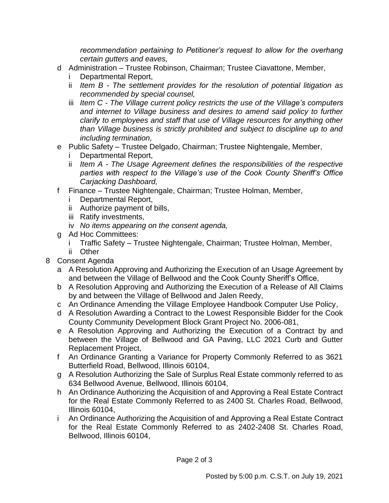*recommendation pertaining to Petitioner's request to allow for the overhang certain gutters and eaves,*

- d Administration Trustee Robinson, Chairman; Trustee Ciavattone, Member,
	- Departmental Report,
	- ii *Item B - The settlement provides for the resolution of potential litigation as recommended by special counsel,*
	- iii *Item C - The Village current policy restricts the use of the Village's computers and internet to Village business and desires to amend said policy to further clarify to employees and staff that use of Village resources for anything other than Village business is strictly prohibited and subject to discipline up to and including termination,*
- e Public Safety Trustee Delgado, Chairman; Trustee Nightengale, Member,
	- Departmental Report,
	- ii *Item A - The Usage Agreement defines the responsibilities of the respective parties with respect to the Village's use of the Cook County Sheriff's Office Carjacking Dashboard,*
- f Finance Trustee Nightengale, Chairman; Trustee Holman, Member,
	- i Departmental Report,
	- ii Authorize payment of bills,
	- iii Ratify investments,
	- iv *No items appearing on the consent agenda,*
- g Ad Hoc Committees:
	- i Traffic Safety Trustee Nightengale, Chairman; Trustee Holman, Member,
	- ii Other
- 8 Consent Agenda
	- a A Resolution Approving and Authorizing the Execution of an Usage Agreement by and between the Village of Bellwood and the Cook County Sheriff's Office,
	- b A Resolution Approving and Authorizing the Execution of a Release of All Claims by and between the Village of Bellwood and Jalen Reedy,
	- c An Ordinance Amending the Village Employee Handbook Computer Use Policy,
	- d A Resolution Awarding a Contract to the Lowest Responsible Bidder for the Cook County Community Development Block Grant Project No. 2006-081,
	- e A Resolution Approving and Authorizing the Execution of a Contract by and between the Village of Bellwood and GA Paving, LLC 2021 Curb and Gutter Replacement Project,
	- f An Ordinance Granting a Variance for Property Commonly Referred to as 3621 Butterfield Road, Bellwood, Illinois 60104,
	- g A Resolution Authorizing the Sale of Surplus Real Estate commonly referred to as 634 Bellwood Avenue, Bellwood, Illinois 60104,
	- h An Ordinance Authorizing the Acquisition of and Approving a Real Estate Contract for the Real Estate Commonly Referred to as 2400 St. Charles Road, Bellwood, Illinois 60104,
	- i An Ordinance Authorizing the Acquisition of and Approving a Real Estate Contract for the Real Estate Commonly Referred to as 2402-2408 St. Charles Road, Bellwood, Illinois 60104,